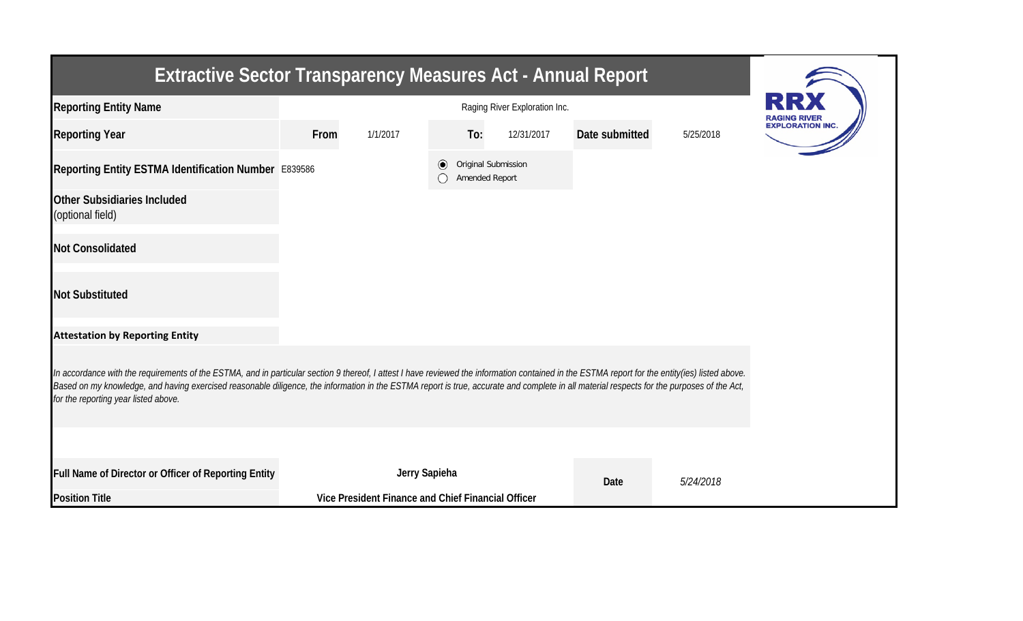| <b>Extractive Sector Transparency Measures Act - Annual Report</b>                                                                                                                                                                                                                                                                                                                                                                    |      |                                                    |                                       |     |            |                |           |                                                |  |  |  |
|---------------------------------------------------------------------------------------------------------------------------------------------------------------------------------------------------------------------------------------------------------------------------------------------------------------------------------------------------------------------------------------------------------------------------------------|------|----------------------------------------------------|---------------------------------------|-----|------------|----------------|-----------|------------------------------------------------|--|--|--|
| <b>Reporting Entity Name</b>                                                                                                                                                                                                                                                                                                                                                                                                          |      | Raging River Exploration Inc.                      |                                       |     |            |                |           |                                                |  |  |  |
| <b>Reporting Year</b>                                                                                                                                                                                                                                                                                                                                                                                                                 | From | 1/1/2017                                           |                                       | To: | 12/31/2017 | Date submitted | 5/25/2018 | <b>RAGING RIVER</b><br><b>EXPLORATION INC.</b> |  |  |  |
| Reporting Entity ESTMA Identification Number E839586                                                                                                                                                                                                                                                                                                                                                                                  |      | $\left( \bullet \right)$                           | Original Submission<br>Amended Report |     |            |                |           |                                                |  |  |  |
| <b>Other Subsidiaries Included</b><br>(optional field)                                                                                                                                                                                                                                                                                                                                                                                |      |                                                    |                                       |     |            |                |           |                                                |  |  |  |
| <b>Not Consolidated</b>                                                                                                                                                                                                                                                                                                                                                                                                               |      |                                                    |                                       |     |            |                |           |                                                |  |  |  |
| <b>Not Substituted</b>                                                                                                                                                                                                                                                                                                                                                                                                                |      |                                                    |                                       |     |            |                |           |                                                |  |  |  |
| <b>Attestation by Reporting Entity</b>                                                                                                                                                                                                                                                                                                                                                                                                |      |                                                    |                                       |     |            |                |           |                                                |  |  |  |
| In accordance with the requirements of the ESTMA, and in particular section 9 thereof, I attest I have reviewed the information contained in the ESTMA report for the entity(ies) listed above.<br>Based on my knowledge, and having exercised reasonable diligence, the information in the ESTMA report is true, accurate and complete in all material respects for the purposes of the Act,<br>for the reporting year listed above. |      |                                                    |                                       |     |            |                |           |                                                |  |  |  |
|                                                                                                                                                                                                                                                                                                                                                                                                                                       |      |                                                    |                                       |     |            |                |           |                                                |  |  |  |
| Full Name of Director or Officer of Reporting Entity                                                                                                                                                                                                                                                                                                                                                                                  |      | Jerry Sapieha                                      |                                       |     |            | Date           | 5/24/2018 |                                                |  |  |  |
| <b>Position Title</b>                                                                                                                                                                                                                                                                                                                                                                                                                 |      | Vice President Finance and Chief Financial Officer |                                       |     |            |                |           |                                                |  |  |  |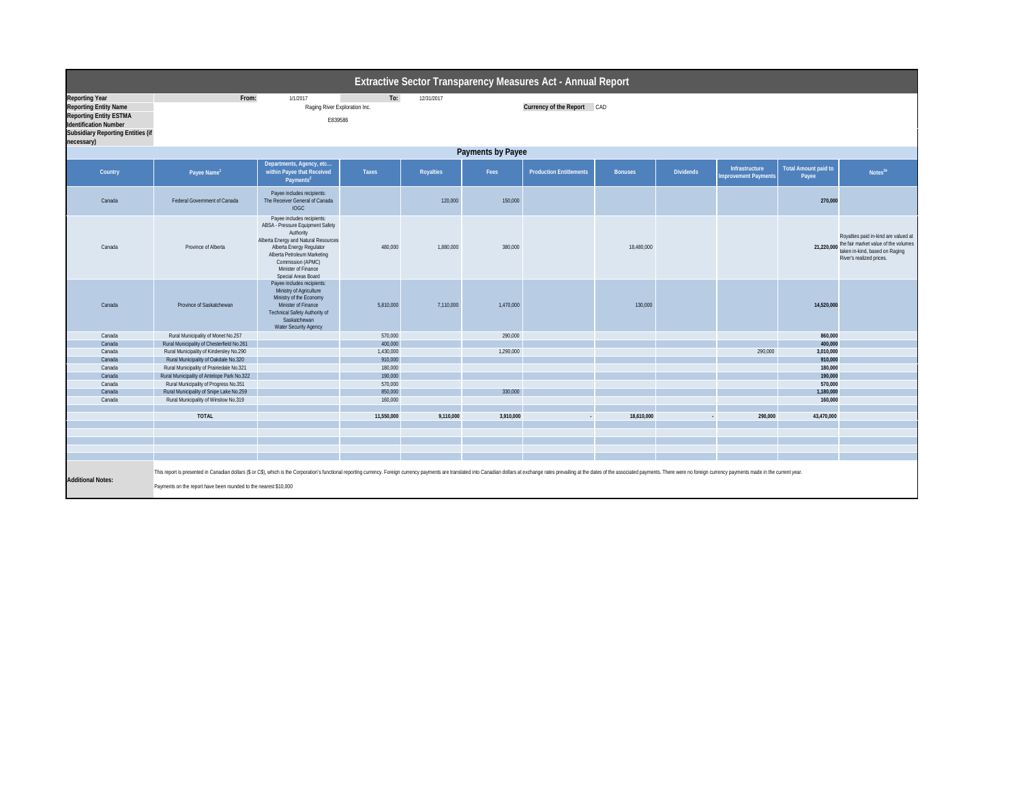| <b>Extractive Sector Transparency Measures Act - Annual Report</b>                                                                                                               |                                                                                                                                                                                                                                 |                                                                                                                                                                                                                                                   |                    |           |           |                                |                |                  |                                        |                                      |                                                                                                                                                       |  |  |
|----------------------------------------------------------------------------------------------------------------------------------------------------------------------------------|---------------------------------------------------------------------------------------------------------------------------------------------------------------------------------------------------------------------------------|---------------------------------------------------------------------------------------------------------------------------------------------------------------------------------------------------------------------------------------------------|--------------------|-----------|-----------|--------------------------------|----------------|------------------|----------------------------------------|--------------------------------------|-------------------------------------------------------------------------------------------------------------------------------------------------------|--|--|
| <b>Reporting Year</b><br><b>Reporting Entity Name</b><br><b>Reporting Entity ESTMA</b><br><b>Identification Number</b><br><b>Subsidiary Reporting Entities (if</b><br>necessary) | From:<br>To:<br>12/31/2017<br>1/1/2017<br>Raging River Exploration Inc.<br>Currency of the Report CAD<br>E839586                                                                                                                |                                                                                                                                                                                                                                                   |                    |           |           |                                |                |                  |                                        |                                      |                                                                                                                                                       |  |  |
|                                                                                                                                                                                  | <b>Payments by Payee</b>                                                                                                                                                                                                        |                                                                                                                                                                                                                                                   |                    |           |           |                                |                |                  |                                        |                                      |                                                                                                                                                       |  |  |
| Country                                                                                                                                                                          | Payee Name <sup>1</sup>                                                                                                                                                                                                         | Departments, Agency, etc<br>within Payee that Received<br>Payments <sup>2</sup>                                                                                                                                                                   | <b>Taxes</b>       | Royalties | Fees      | <b>Production Entitlements</b> | <b>Bonuses</b> | <b>Dividends</b> | Infrastructure<br>Improvement Payments | <b>Total Amount paid to</b><br>Payee | Notes <sup>34</sup>                                                                                                                                   |  |  |
| Canada                                                                                                                                                                           | <b>Federal Government of Canada</b>                                                                                                                                                                                             | Payee includes recipients:<br>The Receiver General of Canada<br><b>IOGC</b>                                                                                                                                                                       |                    | 120,000   | 150,000   |                                |                |                  |                                        | 270,000                              |                                                                                                                                                       |  |  |
| Canada                                                                                                                                                                           | Province of Alberta                                                                                                                                                                                                             | Payee includes recipients:<br>ABSA - Pressure Equipment Safety<br>Authority<br>Alberta Energy and Natural Resources<br>Alberta Energy Regulator<br>Alberta Petroleum Marketing<br>Commission (APMC)<br>Minister of Finance<br>Special Areas Board | 480,000            | 1,880,000 | 380,000   |                                | 18,480,000     |                  |                                        |                                      | Royalties paid in-kind are valued at<br>21,220,000 the fair market value of the volumes<br>taken in-kind, based on Raging<br>River's realized prices. |  |  |
| Canada                                                                                                                                                                           | Province of Saskatchewan                                                                                                                                                                                                        | Payee includes recipients:<br>Ministry of Agriculture<br>Ministry of the Economy<br>Minister of Finance<br><b>Technical Safety Authority of</b><br>Saskatchewan<br><b>Water Security Agency</b>                                                   | 5,810,000          | 7,110,000 | 1,470,000 |                                | 130,000        |                  |                                        | 14,520,000                           |                                                                                                                                                       |  |  |
| Canada                                                                                                                                                                           | Rural Municipality of Monet No.257                                                                                                                                                                                              |                                                                                                                                                                                                                                                   | 570,000            |           | 290,000   |                                |                |                  |                                        | 860,000                              |                                                                                                                                                       |  |  |
| Canada                                                                                                                                                                           | Rural Municipality of Chesterfield No.261                                                                                                                                                                                       |                                                                                                                                                                                                                                                   | 400,000            |           |           |                                |                |                  |                                        | 400,000                              |                                                                                                                                                       |  |  |
| Canada                                                                                                                                                                           | Rural Municipality of Kindersley No.290                                                                                                                                                                                         |                                                                                                                                                                                                                                                   | 1,430,000          |           | 1,290,000 |                                |                |                  | 290,000                                | 3,010,000                            |                                                                                                                                                       |  |  |
| Canada                                                                                                                                                                           | Rural Municipality of Oakdale No.320                                                                                                                                                                                            |                                                                                                                                                                                                                                                   | 910,000            |           |           |                                |                |                  |                                        | 910,000                              |                                                                                                                                                       |  |  |
| Canada                                                                                                                                                                           | Rural Municipality of Prairiedale No.321                                                                                                                                                                                        |                                                                                                                                                                                                                                                   | 180,000            |           |           |                                |                |                  |                                        | 180,000                              |                                                                                                                                                       |  |  |
| Canada                                                                                                                                                                           | Rural Municipality of Antelope Park No.322                                                                                                                                                                                      |                                                                                                                                                                                                                                                   | 190,000            |           |           |                                |                |                  |                                        | 190,000                              |                                                                                                                                                       |  |  |
| Canada                                                                                                                                                                           | Rural Municipality of Progress No.351                                                                                                                                                                                           |                                                                                                                                                                                                                                                   | 570,000            |           |           |                                |                |                  |                                        | 570,000                              |                                                                                                                                                       |  |  |
| Canada<br>Canada                                                                                                                                                                 | Rural Municipality of Snipe Lake No.259<br>Rural Municipality of Winslow No.319                                                                                                                                                 |                                                                                                                                                                                                                                                   | 850,000<br>160,000 |           | 330,000   |                                |                |                  |                                        | 1,180,000<br>160,000                 |                                                                                                                                                       |  |  |
|                                                                                                                                                                                  |                                                                                                                                                                                                                                 |                                                                                                                                                                                                                                                   |                    |           |           |                                |                |                  |                                        |                                      |                                                                                                                                                       |  |  |
|                                                                                                                                                                                  | <b>TOTAL</b>                                                                                                                                                                                                                    |                                                                                                                                                                                                                                                   | 11,550,000         | 9,110,000 | 3,910,000 | $\sim$                         | 18,610,000     |                  | 290,000                                | 43,470,000                           |                                                                                                                                                       |  |  |
|                                                                                                                                                                                  |                                                                                                                                                                                                                                 |                                                                                                                                                                                                                                                   |                    |           |           |                                |                |                  |                                        |                                      |                                                                                                                                                       |  |  |
|                                                                                                                                                                                  |                                                                                                                                                                                                                                 |                                                                                                                                                                                                                                                   |                    |           |           |                                |                |                  |                                        |                                      |                                                                                                                                                       |  |  |
|                                                                                                                                                                                  |                                                                                                                                                                                                                                 |                                                                                                                                                                                                                                                   |                    |           |           |                                |                |                  |                                        |                                      |                                                                                                                                                       |  |  |
|                                                                                                                                                                                  |                                                                                                                                                                                                                                 |                                                                                                                                                                                                                                                   |                    |           |           |                                |                |                  |                                        |                                      |                                                                                                                                                       |  |  |
|                                                                                                                                                                                  |                                                                                                                                                                                                                                 |                                                                                                                                                                                                                                                   |                    |           |           |                                |                |                  |                                        |                                      |                                                                                                                                                       |  |  |
| <b>Additional Notes:</b>                                                                                                                                                         | This report is presented in Canadian dollars (\$ or C\$), which is the Corporation's functional reporting currency. Foreign currency payments are translated into Canadian dollars at exchange rates prevailing at the dates of |                                                                                                                                                                                                                                                   |                    |           |           |                                |                |                  |                                        |                                      |                                                                                                                                                       |  |  |
|                                                                                                                                                                                  | Payments on the report have been rounded to the nearest \$10,000                                                                                                                                                                |                                                                                                                                                                                                                                                   |                    |           |           |                                |                |                  |                                        |                                      |                                                                                                                                                       |  |  |